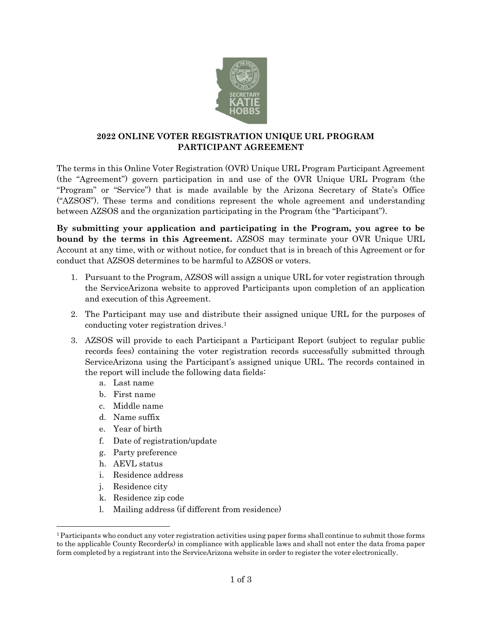

## **2022 ONLINE VOTER REGISTRATION UNIQUE URL PROGRAM PARTICIPANT AGREEMENT**

The terms in this Online Voter Registration (OVR) Unique URL Program Participant Agreement (the "Agreement") govern participation in and use of the OVR Unique URL Program (the "Program" or "Service") that is made available by the Arizona Secretary of State's Office ("AZSOS"). These terms and conditions represent the whole agreement and understanding between AZSOS and the organization participating in the Program (the "Participant").

**By submitting your application and participating in the Program, you agree to be bound by the terms in this Agreement.** AZSOS may terminate your OVR Unique URL Account at any time, with or without notice, for conduct that is in breach of this Agreement or for conduct that AZSOS determines to be harmful to AZSOS or voters.

- 1. Pursuant to the Program, AZSOS will assign a unique URL for voter registration through the ServiceArizona website to approved Participants upon completion of an application and execution of this Agreement.
- 2. The Participant may use and distribute their assigned unique URL for the purposes of conducting voter registration drives.1
- 3. AZSOS will provide to each Participant a Participant Report (subject to regular public records fees) containing the voter registration records successfully submitted through ServiceArizona using the Participant's assigned unique URL. The records contained in the report will include the following data fields:
	- a. Last name
	- b. First name
	- c. Middle name
	- d. Name suffix
	- e. Year of birth
	- f. Date of registration/update
	- g. Party preference
	- h. AEVL status
	- i. Residence address
	- j. Residence city
	- k. Residence zip code
	- l. Mailing address (if different from residence)

<sup>1</sup>Participants who conduct any voter registration activities using paper forms shall continue to submit those forms to the applicable County Recorder(s) in compliance with applicable laws and shall not enter the data froma paper form completed by a registrant into the ServiceArizona website in order to register the voter electronically.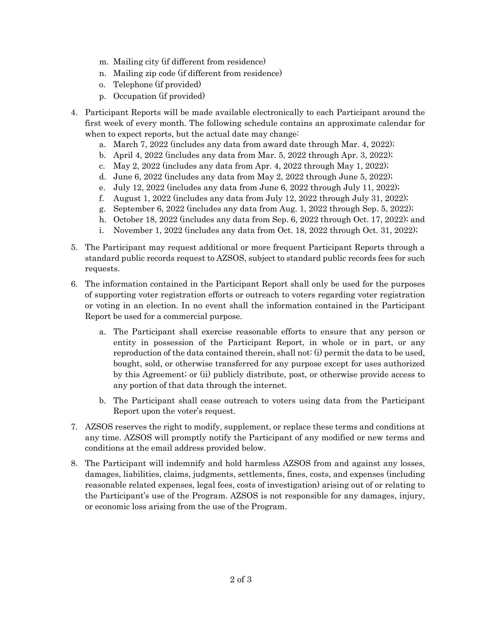- m. Mailing city (if different from residence)
- n. Mailing zip code (if different from residence)
- o. Telephone (if provided)
- p. Occupation (if provided)
- 4. Participant Reports will be made available electronically to each Participant around the first week of every month. The following schedule contains an approximate calendar for when to expect reports, but the actual date may change:
	- a. March 7, 2022 (includes any data from award date through Mar. 4, 2022);
	- b. April 4, 2022 (includes any data from Mar. 5, 2022 through Apr. 3, 2022);
	- c. May 2, 2022 (includes any data from Apr. 4, 2022 through May 1, 2022);
	- d. June 6, 2022 (includes any data from May 2, 2022 through June 5, 2022);
	- e. July 12, 2022 (includes any data from June 6, 2022 through July 11, 2022);
	- f. August 1, 2022 (includes any data from July 12, 2022 through July 31, 2022);
	- g. September 6, 2022 (includes any data from Aug. 1, 2022 through Sep. 5, 2022);
	- h. October 18, 2022 (includes any data from Sep. 6, 2022 through Oct. 17, 2022); and
	- i. November 1, 2022 (includes any data from Oct. 18, 2022 through Oct. 31, 2022);
- 5. The Participant may request additional or more frequent Participant Reports through a standard public records request to AZSOS, subject to standard public records fees for such requests.
- 6. The information contained in the Participant Report shall only be used for the purposes of supporting voter registration efforts or outreach to voters regarding voter registration or voting in an election. In no event shall the information contained in the Participant Report be used for a commercial purpose.
	- a. The Participant shall exercise reasonable efforts to ensure that any person or entity in possession of the Participant Report, in whole or in part, or any reproduction of the data contained therein, shall not: (i) permit the data to be used, bought, sold, or otherwise transferred for any purpose except for uses authorized by this Agreement; or (ii) publicly distribute, post, or otherwise provide access to any portion of that data through the internet.
	- b. The Participant shall cease outreach to voters using data from the Participant Report upon the voter's request.
- 7. AZSOS reserves the right to modify, supplement, or replace these terms and conditions at any time. AZSOS will promptly notify the Participant of any modified or new terms and conditions at the email address provided below.
- 8. The Participant will indemnify and hold harmless AZSOS from and against any losses, damages, liabilities, claims, judgments, settlements, fines, costs, and expenses (including reasonable related expenses, legal fees, costs of investigation) arising out of or relating to the Participant's use of the Program. AZSOS is not responsible for any damages, injury, or economic loss arising from the use of the Program.